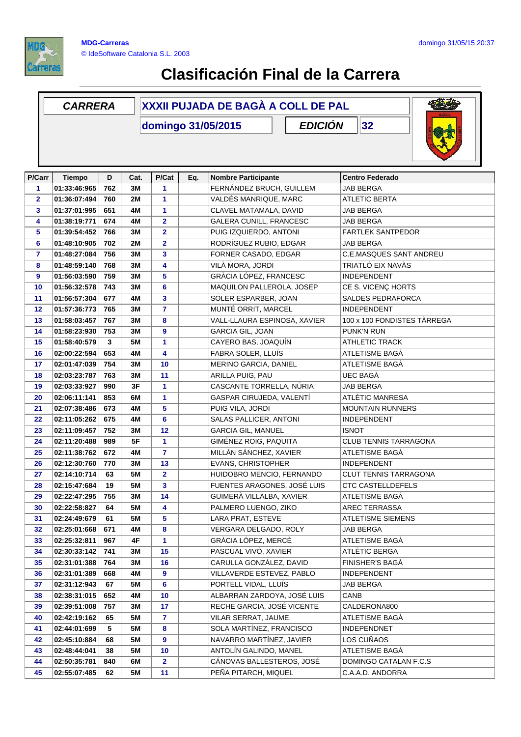

## **Clasificación Final de la Carrera**

## **D Cat. P/Cat Eq. Nombre Participante Centro Federado** *CARRERA* **XXXII PUJADA DE BAGÀ A COLL DE PAL domingo 31/05/2015 P/Carr Tiempo** *EDICIÓN* **32 P/Cat 01:33:46:965 762 3M 1** FERNÁNDEZ BRUCH, GUILLEM JAB BERGA **01:36:07:494 760 2M 1** VALDÉS MANRIQUE, MARC ATLETIC BERTA **01:37:01:995 651 4M 1** CLAVEL MATAMALA, DAVID JAB BERGA **01:38:19:771 674 4M 2** GALERA CUNILL, FRANCESC JAB BERGA **01:39:54:452 766 3M 2** PUIG IZQUIERDO, ANTONI FARTLEK SANTPEDOR **01:48:10:905 702 2M 2** RODRÍGUEZ RUBIO, EDGAR JAB BERGA **01:48:27:084 756 3M 3** FORNER CASADO, EDGAR C.E.MASQUES SANT ANDREU **01:48:59:140 768 3M 4** VILÀ MORA, JORDI TRIATLÓ EIX NAVÀS **01:56:03:590 759 3M 5** GRÀCIA LÓPEZ, FRANCESC INDEPENDENT **01:56:32:578 743 3M 6** MAQUILON PALLEROLA, JOSEP CE S. VICENÇ HORTS **01:56:57:304 677 4M 3** SOLER ESPARBER, JOAN SALDES PEDRAFORCA **01:57:36:773 765 3M 7** MUNTÉ ORRIT, MARCEL INDEPENDENT **01:58:03:457 767 3M 8** VALL-LLAURA ESPINOSA, XAVIER 100 x 100 FONDISTES TÀRREGA **01:58:23:930 753 3M 9** GARCIA GIL, JOAN PUNK'N RUN **01:58:40:579 3 5M 1** CAYERO BAS, JOAQUÍN ATHLETIC TRACK **02:00:22:594 653 4M 4** FABRA SOLER, LLUÍS ATLETISME BAGÀ **02:01:47:039 754 3M 10** MERINO GARCIA, DANIEL ATLETISME BAGÀ **02:03:23:787 763 3M 11** ARILLA PUIG, PAU UEC BAGÀ **02:03:33:927 990 3F 1** CASCANTE TORRELLA, NÚRIA JAB BERGA **02:06:11:141 853 6M 1** GASPAR CIRUJEDA, VALENTÍ ATLÈTIC MANRESA **02:07:38:486 673 4M 5** PUIG VILA, JORDI MOUNTAIN RUNNERS **02:11:05:262 675 4M 6** SALAS PALLICER, ANTONI INDEPENDENT **02:11:09:457 752 3M 12** GARCIA GIL, MANUEL ISNOT **02:11:20:488 989 5F 1** GIMÉNEZ ROIG, PAQUITA CLUB TENNIS TARRAGONA **02:11:38:762 672 4M 7** MILLÁN SÁNCHEZ, XAVIER ATLETISME BAGÀ **02:12:30:760 770 3M 13** EVANS, CHRISTOPHER INDEPENDENT **02:14:10:714 63 5M 2** HUIDOBRO MENCIO, FERNANDO CLUT TENNIS TARRAGONA **02:15:47:684 19 5M 3** FUENTES ARAGONES, JOSÉ LUIS CTC CASTELLDEFELS **02:22:47:295 755 3M 14** GUIMERÀ VILLALBA, XAVIER ATLETISME BAGÀ **02:22:58:827 64 5M 4** PALMERO LUENGO, ZIKO AREC TERRASSA **02:24:49:679 61 5M 5** LARA PRAT, ESTEVE ATLETISME SIEMENS **02:25:01:668 671 4M 8** VERGARA DELGADO, ROLY JAB BERGA **02:25:32:811 967 4F 1** GRÀCIA LÓPEZ, MERCÈ ATLETISME BAGÀ **02:30:33:142 741 3M 15** PASCUAL VIVÓ, XAVIER ATLÈTIC BERGA **02:31:01:388 764 3M 16** CARULLA GONZÁLEZ, DAVID FINISHER'S BAGÀ **02:31:01:389 668 4M 9** VILLAVERDE ESTEVEZ, PABLO INDEPENDENT **02:31:12:943 67 5M 6** PORTELL VIDAL, LLUÍS JAB BERGA **02:38:31:015 652 4M 10** ALBARRAN ZARDOYA, JOSÉ LUIS CANB **02:39:51:008 757 3M 17** RECHE GARCIA, JOSÉ VICENTE CALDERONA800 **02:42:19:162 65 5M 7** VILAR SERRAT, JAUME ATLETISME BAGÀ **02:44:01:699 5 5M 8** SOLA MARTÍNEZ, FRANCISCO INDEPENDNET **02:45:10:884 68 5M 9** NAVARRO MARTÍNEZ, JAVIER LOS CUÑAOS **02:48:44:041 38 5M 10** ANTOLÍN GALINDO, MANEL ATLETISME BAGÀ **840** CÁNOVAS BALLESTEROS, JOSÉ **02:50:35:781 6M 2** DOMINGO CATALAN F.C.S MIGUEL **02:55:07:485 62 5M 11** PEÑA PITARCH, MIQUEL C.A.A.D. ANDORRA